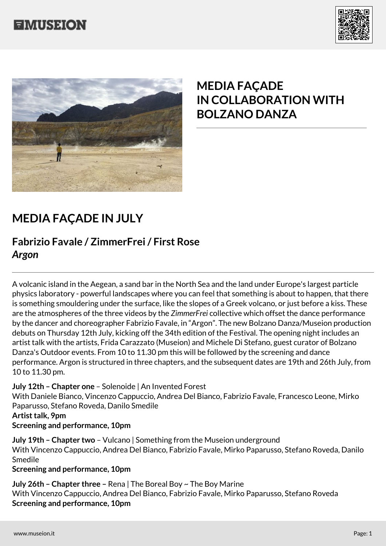





# **MEDIA FAÇADE IN COLLABORATION WITH BOLZANO DANZA**

## **MEDIA FAÇADE IN JULY**

### **Fabrizio Favale / ZimmerFrei / First Rose** *Argon*

A volcanic island in the Aegean, a sand bar in the North Sea and the land under Europe's largest particle physics laboratory - powerful landscapes where you can feel that something is about to happen, that there is something smouldering under the surface, like the slopes of a Greek volcano, or just before a kiss. These are the atmospheres of the three videos by the *ZimmerFrei* collective which offset the dance performance by the dancer and choreographer Fabrizio Favale, in "Argon". The new Bolzano Danza/Museion production debuts on Thursday 12th July, kicking off the 34th edition of the Festival. The opening night includes an artist talk with the artists, Frida Carazzato (Museion) and Michele Di Stefano, guest curator of Bolzano Danza's Outdoor events. From 10 to 11.30 pm this will be followed by the screening and dance performance. Argon is structured in three chapters, and the subsequent dates are 19th and 26th July, from 10 to 11.30 pm.

### **July 12th – Chapter one** – Solenoide | An Invented Forest

With Daniele Bianco, Vincenzo Cappuccio, Andrea Del Bianco, Fabrizio Favale, Francesco Leone, Mirko Paparusso, Stefano Roveda, Danilo Smedile

### **Artist talk, 9pm**

### **Screening and performance, 10pm**

**July 19th – Chapter two** – Vulcano | Something from the Museion underground With Vincenzo Cappuccio, Andrea Del Bianco, Fabrizio Favale, Mirko Paparusso, Stefano Roveda, Danilo Smedile

#### **Screening and performance, 10pm**

**July 26th – Chapter three –** Rena | The Boreal Boy ~ The Boy Marine With Vincenzo Cappuccio, Andrea Del Bianco, Fabrizio Favale, Mirko Paparusso, Stefano Roveda **Screening and performance, 10pm**